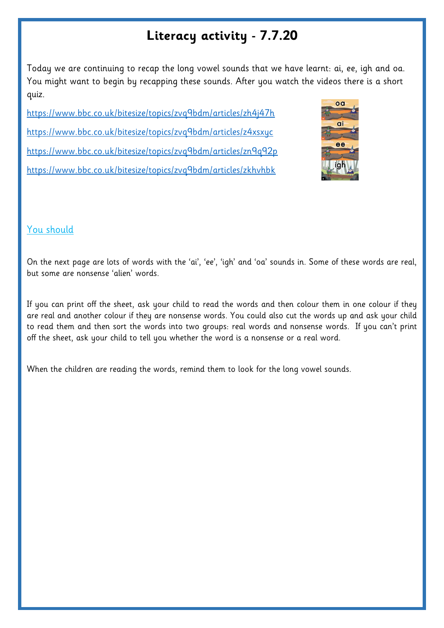## **Literacy activity - 7.7.20**

Today we are continuing to recap the long vowel sounds that we have learnt: ai, ee, igh and oa. You might want to begin by recapping these sounds. After you watch the videos there is a short quiz.

<https://www.bbc.co.uk/bitesize/topics/zvq9bdm/articles/zh4j47h> <https://www.bbc.co.uk/bitesize/topics/zvq9bdm/articles/z4xsxyc> <https://www.bbc.co.uk/bitesize/topics/zvq9bdm/articles/zn9q92p> <https://www.bbc.co.uk/bitesize/topics/zvq9bdm/articles/zkhvhbk>



## You should

On the next page are lots of words with the 'ai', 'ee', 'igh' and 'oa' sounds in. Some of these words are real, but some are nonsense 'alien' words.

If you can print off the sheet, ask your child to read the words and then colour them in one colour if they are real and another colour if they are nonsense words. You could also cut the words up and ask your child to read them and then sort the words into two groups: real words and nonsense words. If you can't print off the sheet, ask your child to tell you whether the word is a nonsense or a real word.

When the children are reading the words, remind them to look for the long vowel sounds.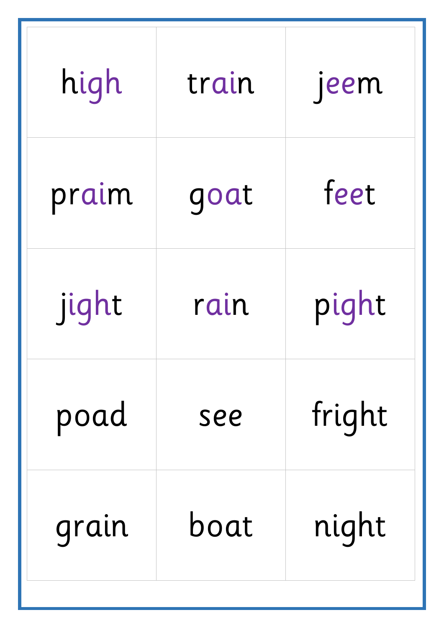| high  | train | jeem   |
|-------|-------|--------|
| praim | goat  | feet   |
| jight | rain  | pight  |
| poad  | see   | fright |
| grain | boat  | night  |